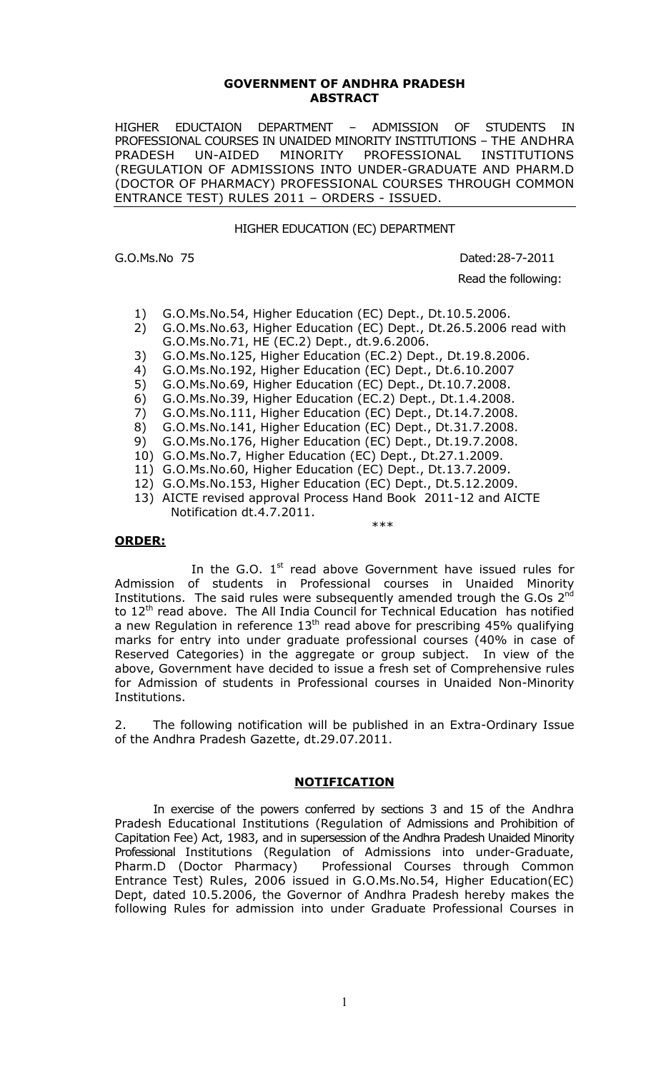#### **GOVERNMENT OF ANDHRA PRADESH ABSTRACT**

HIGHER EDUCTAION DEPARTMENT – ADMISSION OF STUDENTS IN PROFESSIONAL COURSES IN UNAIDED MINORITY INSTITUTIONS – THE ANDHRA PRADESH UN-AIDED MINORITY PROFESSIONAL INSTITUTIONS (REGULATION OF ADMISSIONS INTO UNDER-GRADUATE AND PHARM.D (DOCTOR OF PHARMACY) PROFESSIONAL COURSES THROUGH COMMON ENTRANCE TEST) RULES 2011 – ORDERS - ISSUED.

HIGHER EDUCATION (EC) DEPARTMENT

G.O.Ms.No 75 Dated:28-7-2011

Read the following:

- 1) G.O.Ms.No.54, Higher Education (EC) Dept., Dt.10.5.2006.
- 2) G.O.Ms.No.63, Higher Education (EC) Dept., Dt.26.5.2006 read with G.O.Ms.No.71, HE (EC.2) Dept., dt.9.6.2006.
- 3) G.O.Ms.No.125, Higher Education (EC.2) Dept., Dt.19.8.2006.
- 4) G.O.Ms.No.192, Higher Education (EC) Dept., Dt.6.10.2007
- 5) G.O.Ms.No.69, Higher Education (EC) Dept., Dt.10.7.2008.
- 6) G.O.Ms.No.39, Higher Education (EC.2) Dept., Dt.1.4.2008.
- 7) G.O.Ms.No.111, Higher Education (EC) Dept., Dt.14.7.2008.
- 8) G.O.Ms.No.141, Higher Education (EC) Dept., Dt.31.7.2008.
- 9) G.O.Ms.No.176, Higher Education (EC) Dept., Dt.19.7.2008.
- 10) G.O.Ms.No.7, Higher Education (EC) Dept., Dt.27.1.2009.
- 11) G.O.Ms.No.60, Higher Education (EC) Dept., Dt.13.7.2009.
- 12) G.O.Ms.No.153, Higher Education (EC) Dept., Dt.5.12.2009.
- 13) AICTE revised approval Process Hand Book 2011-12 and AICTE Notification dt.4.7.2011. \*\*\*

#### **ORDER:**

In the G.O.  $1<sup>st</sup>$  read above Government have issued rules for Admission of students in Professional courses in Unaided Minority Institutions. The said rules were subsequently amended trough the G.Os  $2^{nd}$ to 12<sup>th</sup> read above. The All India Council for Technical Education has notified a new Regulation in reference  $13<sup>th</sup>$  read above for prescribing 45% qualifying marks for entry into under graduate professional courses (40% in case of Reserved Categories) in the aggregate or group subject. In view of the above, Government have decided to issue a fresh set of Comprehensive rules for Admission of students in Professional courses in Unaided Non-Minority Institutions.

2. The following notification will be published in an Extra-Ordinary Issue of the Andhra Pradesh Gazette, dt.29.07.2011.

### **NOTIFICATION**

In exercise of the powers conferred by sections 3 and 15 of the Andhra Pradesh Educational Institutions (Regulation of Admissions and Prohibition of Capitation Fee) Act, 1983, and in supersession of the Andhra Pradesh Unaided Minority Professional Institutions (Regulation of Admissions into under-Graduate,<br>Pharm.D (Doctor Pharmacy) Professional Courses through Common Professional Courses through Common Entrance Test) Rules, 2006 issued in G.O.Ms.No.54, Higher Education(EC) Dept, dated 10.5.2006, the Governor of Andhra Pradesh hereby makes the following Rules for admission into under Graduate Professional Courses in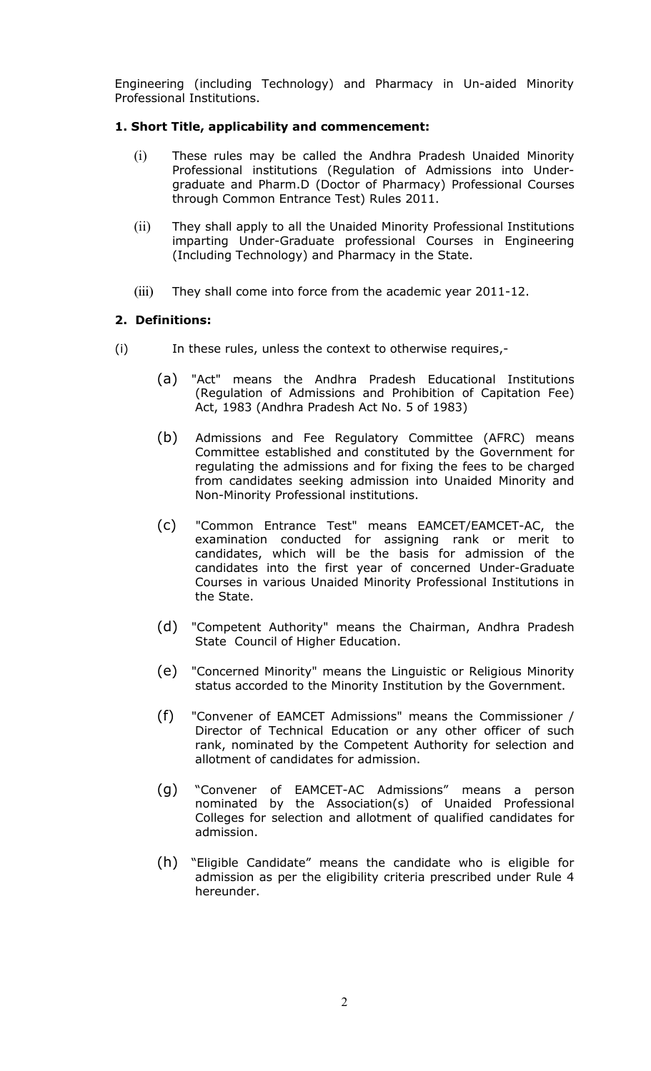Engineering (including Technology) and Pharmacy in Un-aided Minority Professional Institutions.

# **1. Short Title, applicability and commencement:**

- (i) These rules may be called the Andhra Pradesh Unaided Minority Professional institutions (Regulation of Admissions into Undergraduate and Pharm.D (Doctor of Pharmacy) Professional Courses through Common Entrance Test) Rules 2011.
- (ii) They shall apply to all the Unaided Minority Professional Institutions imparting Under-Graduate professional Courses in Engineering (Including Technology) and Pharmacy in the State.
- (iii) They shall come into force from the academic year 2011-12.

# **2. Definitions:**

- (i) In these rules, unless the context to otherwise requires,-
	- (a) "Act" means the Andhra Pradesh Educational Institutions (Regulation of Admissions and Prohibition of Capitation Fee) Act, 1983 (Andhra Pradesh Act No. 5 of 1983)
	- (b) Admissions and Fee Regulatory Committee (AFRC) means Committee established and constituted by the Government for regulating the admissions and for fixing the fees to be charged from candidates seeking admission into Unaided Minority and Non-Minority Professional institutions.
	- (c) "Common Entrance Test" means EAMCET/EAMCET-AC, the examination conducted for assigning rank or merit to candidates, which will be the basis for admission of the candidates into the first year of concerned Under-Graduate Courses in various Unaided Minority Professional Institutions in the State.
	- (d) "Competent Authority" means the Chairman, Andhra Pradesh State Council of Higher Education.
	- (e) "Concerned Minority" means the Linguistic or Religious Minority status accorded to the Minority Institution by the Government.
	- (f) "Convener of EAMCET Admissions" means the Commissioner / Director of Technical Education or any other officer of such rank, nominated by the Competent Authority for selection and allotment of candidates for admission.
	- (g) "Convener of EAMCET-AC Admissions" means a person nominated by the Association(s) of Unaided Professional Colleges for selection and allotment of qualified candidates for admission.
	- (h) "Eligible Candidate" means the candidate who is eligible for admission as per the eligibility criteria prescribed under Rule 4 hereunder.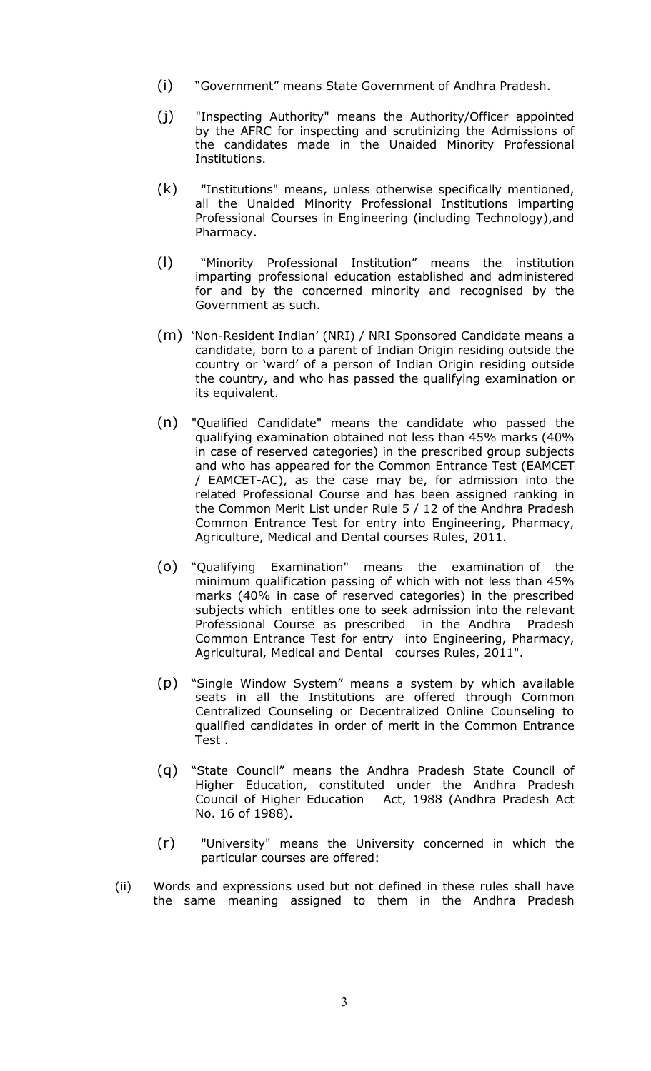- (i) "Government" means State Government of Andhra Pradesh.
- (j) "Inspecting Authority" means the Authority/Officer appointed by the AFRC for inspecting and scrutinizing the Admissions of the candidates made in the Unaided Minority Professional Institutions.
- (k) "Institutions" means, unless otherwise specifically mentioned, all the Unaided Minority Professional Institutions imparting Professional Courses in Engineering (including Technology),and Pharmacy.
- (l) "Minority Professional Institution" means the institution imparting professional education established and administered for and by the concerned minority and recognised by the Government as such.
- (m) 'Non-Resident Indian' (NRI) / NRI Sponsored Candidate means a candidate, born to a parent of Indian Origin residing outside the country or 'ward' of a person of Indian Origin residing outside the country, and who has passed the qualifying examination or its equivalent.
- (n) "Qualified Candidate" means the candidate who passed the qualifying examination obtained not less than 45% marks (40% in case of reserved categories) in the prescribed group subjects and who has appeared for the Common Entrance Test (EAMCET / EAMCET-AC), as the case may be, for admission into the related Professional Course and has been assigned ranking in the Common Merit List under Rule 5 / 12 of the Andhra Pradesh Common Entrance Test for entry into Engineering, Pharmacy, Agriculture, Medical and Dental courses Rules, 2011.
- (o) "Qualifying Examination" means the examination of the minimum qualification passing of which with not less than 45% marks (40% in case of reserved categories) in the prescribed subjects which entitles one to seek admission into the relevant Professional Course as prescribed in the Andhra Pradesh Common Entrance Test for entry into Engineering, Pharmacy, Agricultural, Medical and Dental courses Rules, 2011".
- (p) "Single Window System" means a system by which available seats in all the Institutions are offered through Common Centralized Counseling or Decentralized Online Counseling to qualified candidates in order of merit in the Common Entrance Test .
- (q) "State Council" means the Andhra Pradesh State Council of Higher Education, constituted under the Andhra Pradesh Council of Higher Education Act, 1988 (Andhra Pradesh Act No. 16 of 1988).
- (r) "University" means the University concerned in which the particular courses are offered:
- (ii) Words and expressions used but not defined in these rules shall have the same meaning assigned to them in the Andhra Pradesh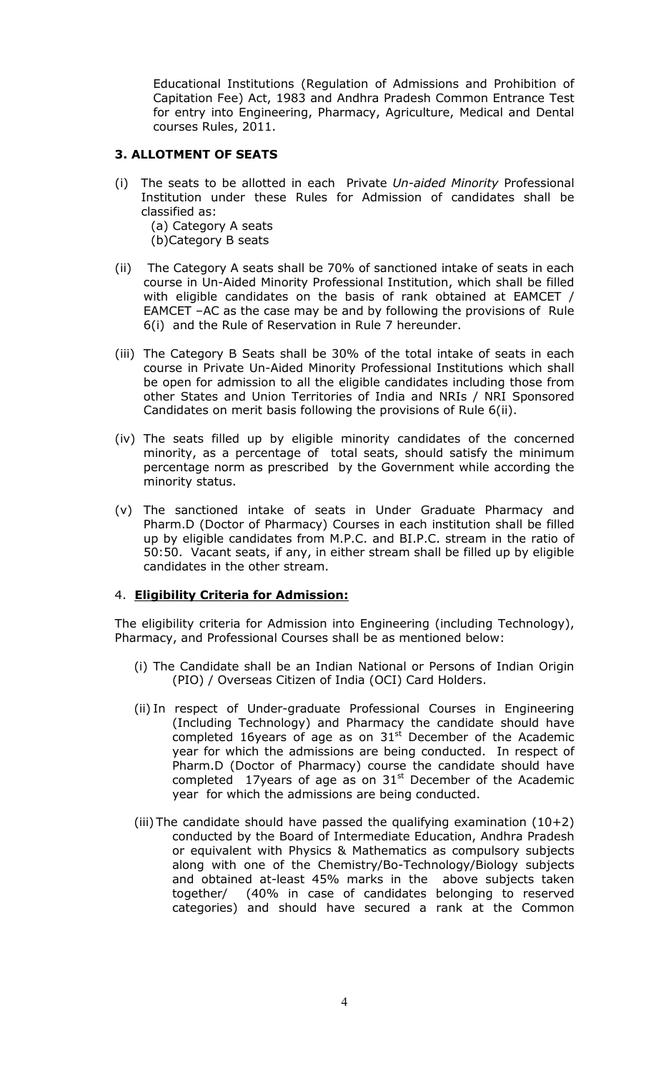Educational Institutions (Regulation of Admissions and Prohibition of Capitation Fee) Act, 1983 and Andhra Pradesh Common Entrance Test for entry into Engineering, Pharmacy, Agriculture, Medical and Dental courses Rules, 2011.

## **3. ALLOTMENT OF SEATS**

- (i) The seats to be allotted in each Private *Un-aided Minority* Professional Institution under these Rules for Admission of candidates shall be classified as: (a) Category A seats (b)Category B seats
- (ii) The Category A seats shall be 70% of sanctioned intake of seats in each course in Un-Aided Minority Professional Institution, which shall be filled with eligible candidates on the basis of rank obtained at EAMCET / EAMCET –AC as the case may be and by following the provisions of Rule 6(i) and the Rule of Reservation in Rule 7 hereunder.
- (iii) The Category B Seats shall be 30% of the total intake of seats in each course in Private Un-Aided Minority Professional Institutions which shall be open for admission to all the eligible candidates including those from other States and Union Territories of India and NRIs / NRI Sponsored Candidates on merit basis following the provisions of Rule 6(ii).
- (iv) The seats filled up by eligible minority candidates of the concerned minority, as a percentage of total seats, should satisfy the minimum percentage norm as prescribed by the Government while according the minority status.
- (v) The sanctioned intake of seats in Under Graduate Pharmacy and Pharm.D (Doctor of Pharmacy) Courses in each institution shall be filled up by eligible candidates from M.P.C. and BI.P.C. stream in the ratio of 50:50. Vacant seats, if any, in either stream shall be filled up by eligible candidates in the other stream.

# 4. **Eligibility Criteria for Admission:**

The eligibility criteria for Admission into Engineering (including Technology), Pharmacy, and Professional Courses shall be as mentioned below:

- (i) The Candidate shall be an Indian National or Persons of Indian Origin (PIO) / Overseas Citizen of India (OCI) Card Holders.
- (ii) In respect of Under-graduate Professional Courses in Engineering (Including Technology) and Pharmacy the candidate should have completed 16years of age as on  $31<sup>st</sup>$  December of the Academic year for which the admissions are being conducted. In respect of Pharm.D (Doctor of Pharmacy) course the candidate should have completed 17years of age as on  $31<sup>st</sup>$  December of the Academic year for which the admissions are being conducted.
- (iii) The candidate should have passed the qualifying examination  $(10+2)$ conducted by the Board of Intermediate Education, Andhra Pradesh or equivalent with Physics & Mathematics as compulsory subjects along with one of the Chemistry/Bo-Technology/Biology subjects and obtained at-least 45% marks in the above subjects taken together/ (40% in case of candidates belonging to reserved categories) and should have secured a rank at the Common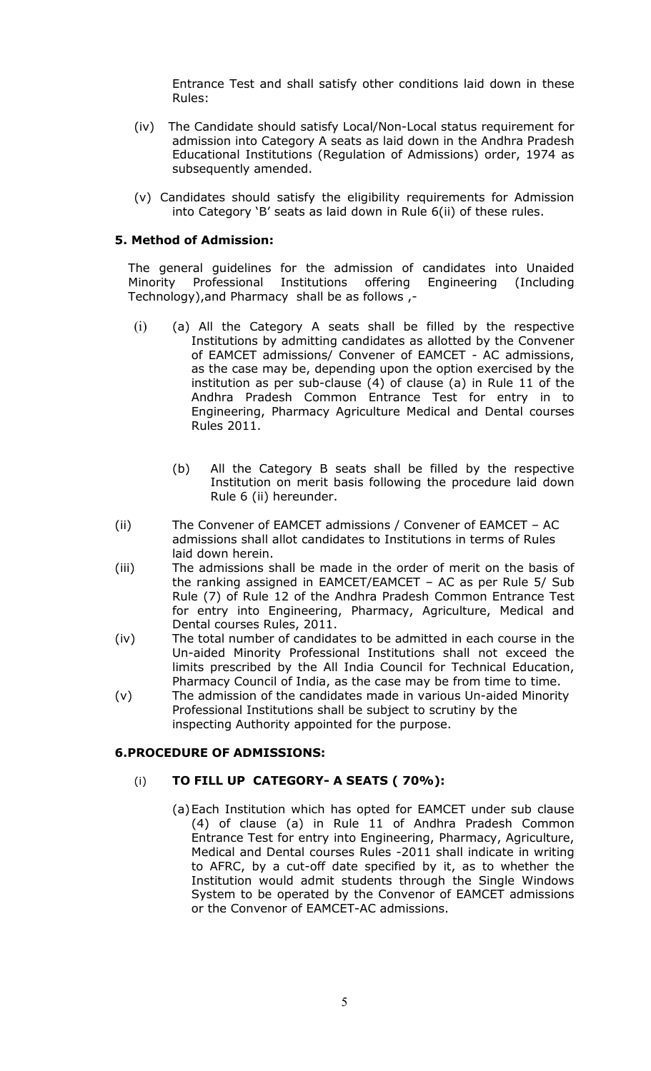Entrance Test and shall satisfy other conditions laid down in these Rules:

- (iv) The Candidate should satisfy Local/Non-Local status requirement for admission into Category A seats as laid down in the Andhra Pradesh Educational Institutions (Regulation of Admissions) order, 1974 as subsequently amended.
- (v) Candidates should satisfy the eligibility requirements for Admission into Category 'B' seats as laid down in Rule 6(ii) of these rules.

## **5. Method of Admission:**

The general guidelines for the admission of candidates into Unaided Minority Professional Institutions offering Engineering (Including Technology),and Pharmacy shall be as follows ,-

- (i) (a) All the Category A seats shall be filled by the respective Institutions by admitting candidates as allotted by the Convener of EAMCET admissions/ Convener of EAMCET - AC admissions, as the case may be, depending upon the option exercised by the institution as per sub-clause (4) of clause (a) in Rule 11 of the Andhra Pradesh Common Entrance Test for entry in to Engineering, Pharmacy Agriculture Medical and Dental courses Rules 2011.
	- (b) All the Category B seats shall be filled by the respective Institution on merit basis following the procedure laid down Rule 6 (ii) hereunder.
- (ii) The Convener of EAMCET admissions / Convener of EAMCET AC admissions shall allot candidates to Institutions in terms of Rules laid down herein.
- (iii) The admissions shall be made in the order of merit on the basis of the ranking assigned in EAMCET/EAMCET – AC as per Rule 5/ Sub Rule (7) of Rule 12 of the Andhra Pradesh Common Entrance Test for entry into Engineering, Pharmacy, Agriculture, Medical and Dental courses Rules, 2011.
- (iv) The total number of candidates to be admitted in each course in the Un-aided Minority Professional Institutions shall not exceed the limits prescribed by the All India Council for Technical Education, Pharmacy Council of India, as the case may be from time to time.
- (v) The admission of the candidates made in various Un-aided Minority Professional Institutions shall be subject to scrutiny by the inspecting Authority appointed for the purpose.

## **6.PROCEDURE OF ADMISSIONS:**

## (i) **TO FILL UP CATEGORY- A SEATS ( 70%):**

(a)Each Institution which has opted for EAMCET under sub clause (4) of clause (a) in Rule 11 of Andhra Pradesh Common Entrance Test for entry into Engineering, Pharmacy, Agriculture, Medical and Dental courses Rules -2011 shall indicate in writing to AFRC, by a cut-off date specified by it, as to whether the Institution would admit students through the Single Windows System to be operated by the Convenor of EAMCET admissions or the Convenor of EAMCET-AC admissions.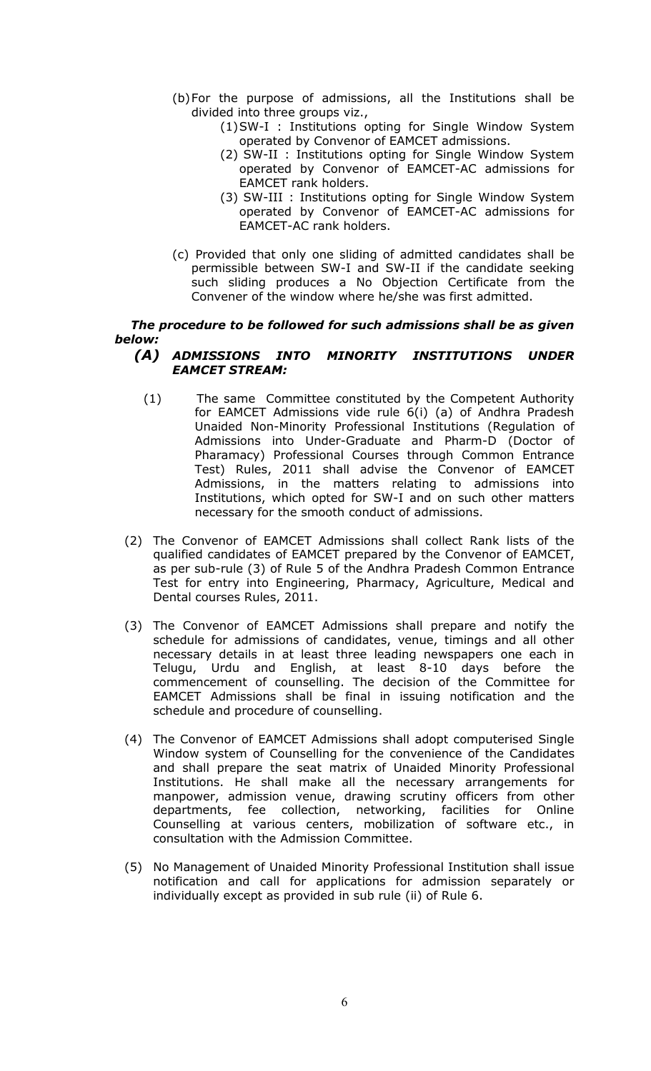- (b)For the purpose of admissions, all the Institutions shall be divided into three groups viz.,
	- (1)SW-I : Institutions opting for Single Window System operated by Convenor of EAMCET admissions.
	- (2) SW-II : Institutions opting for Single Window System operated by Convenor of EAMCET-AC admissions for EAMCET rank holders.
	- (3) SW-III : Institutions opting for Single Window System operated by Convenor of EAMCET-AC admissions for EAMCET-AC rank holders.
- (c) Provided that only one sliding of admitted candidates shall be permissible between SW-I and SW-II if the candidate seeking such sliding produces a No Objection Certificate from the Convener of the window where he/she was first admitted.

# *The procedure to be followed for such admissions shall be as given below:*

### *(A) ADMISSIONS INTO MINORITY INSTITUTIONS UNDER EAMCET STREAM:*

- (1) The same Committee constituted by the Competent Authority for EAMCET Admissions vide rule 6(i) (a) of Andhra Pradesh Unaided Non-Minority Professional Institutions (Regulation of Admissions into Under-Graduate and Pharm-D (Doctor of Pharamacy) Professional Courses through Common Entrance Test) Rules, 2011 shall advise the Convenor of EAMCET Admissions, in the matters relating to admissions into Institutions, which opted for SW-I and on such other matters necessary for the smooth conduct of admissions.
- (2) The Convenor of EAMCET Admissions shall collect Rank lists of the qualified candidates of EAMCET prepared by the Convenor of EAMCET, as per sub-rule (3) of Rule 5 of the Andhra Pradesh Common Entrance Test for entry into Engineering, Pharmacy, Agriculture, Medical and Dental courses Rules, 2011.
- (3) The Convenor of EAMCET Admissions shall prepare and notify the schedule for admissions of candidates, venue, timings and all other necessary details in at least three leading newspapers one each in Telugu, Urdu and English, at least 8-10 days before the commencement of counselling. The decision of the Committee for EAMCET Admissions shall be final in issuing notification and the schedule and procedure of counselling.
- (4) The Convenor of EAMCET Admissions shall adopt computerised Single Window system of Counselling for the convenience of the Candidates and shall prepare the seat matrix of Unaided Minority Professional Institutions. He shall make all the necessary arrangements for manpower, admission venue, drawing scrutiny officers from other departments, fee collection, networking, facilities for Online Counselling at various centers, mobilization of software etc., in consultation with the Admission Committee.
- (5) No Management of Unaided Minority Professional Institution shall issue notification and call for applications for admission separately or individually except as provided in sub rule (ii) of Rule 6.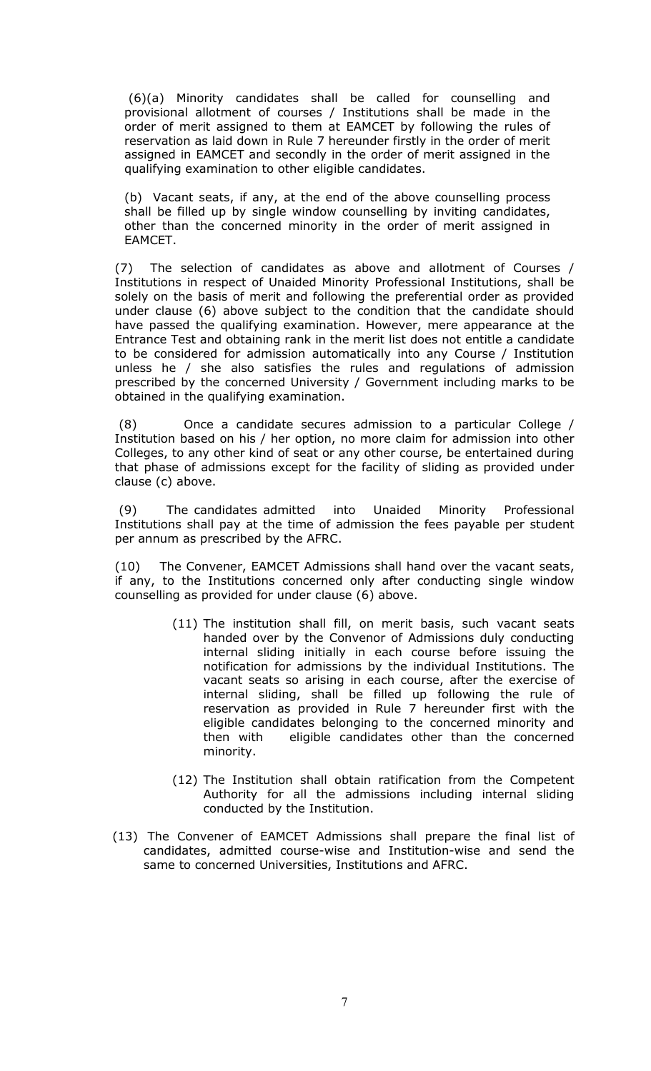(6)(a) Minority candidates shall be called for counselling and provisional allotment of courses / Institutions shall be made in the order of merit assigned to them at EAMCET by following the rules of reservation as laid down in Rule 7 hereunder firstly in the order of merit assigned in EAMCET and secondly in the order of merit assigned in the qualifying examination to other eligible candidates.

(b) Vacant seats, if any, at the end of the above counselling process shall be filled up by single window counselling by inviting candidates, other than the concerned minority in the order of merit assigned in EAMCET.

(7) The selection of candidates as above and allotment of Courses / Institutions in respect of Unaided Minority Professional Institutions, shall be solely on the basis of merit and following the preferential order as provided under clause (6) above subject to the condition that the candidate should have passed the qualifying examination. However, mere appearance at the Entrance Test and obtaining rank in the merit list does not entitle a candidate to be considered for admission automatically into any Course / Institution unless he / she also satisfies the rules and regulations of admission prescribed by the concerned University / Government including marks to be obtained in the qualifying examination.

 (8) Once a candidate secures admission to a particular College / Institution based on his / her option, no more claim for admission into other Colleges, to any other kind of seat or any other course, be entertained during that phase of admissions except for the facility of sliding as provided under clause (c) above.

 (9) The candidates admitted into Unaided Minority Professional Institutions shall pay at the time of admission the fees payable per student per annum as prescribed by the AFRC.

(10) The Convener, EAMCET Admissions shall hand over the vacant seats, if any, to the Institutions concerned only after conducting single window counselling as provided for under clause (6) above.

- (11) The institution shall fill, on merit basis, such vacant seats handed over by the Convenor of Admissions duly conducting internal sliding initially in each course before issuing the notification for admissions by the individual Institutions. The vacant seats so arising in each course, after the exercise of internal sliding, shall be filled up following the rule of reservation as provided in Rule 7 hereunder first with the eligible candidates belonging to the concerned minority and then with eligible candidates other than the concerned minority.
- (12) The Institution shall obtain ratification from the Competent Authority for all the admissions including internal sliding conducted by the Institution.
- (13) The Convener of EAMCET Admissions shall prepare the final list of candidates, admitted course-wise and Institution-wise and send the same to concerned Universities, Institutions and AFRC.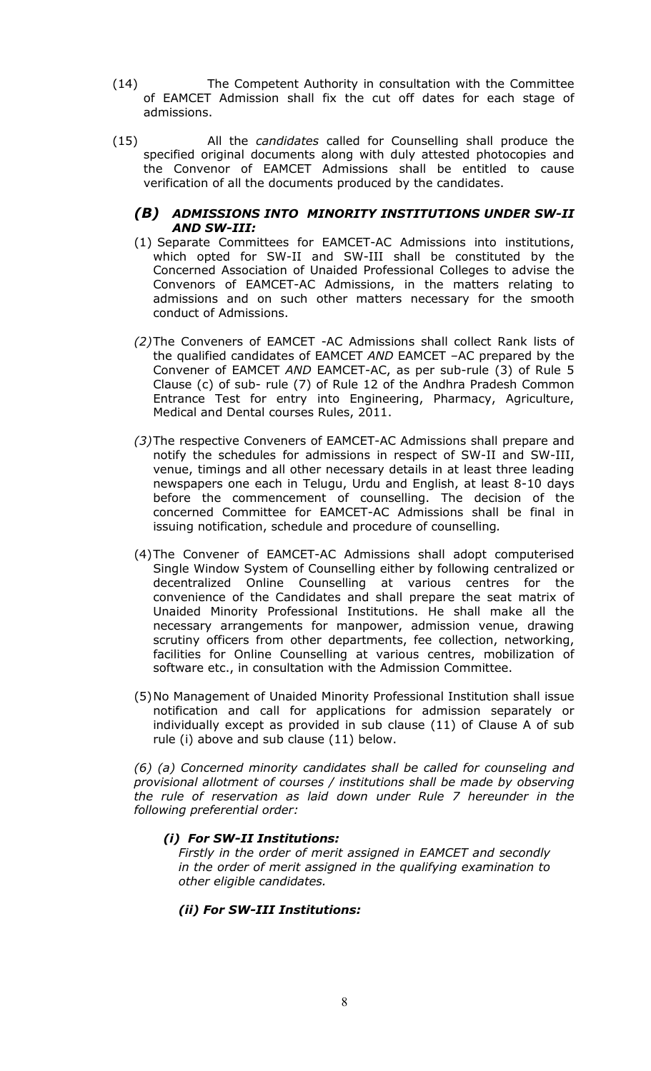- (14) The Competent Authority in consultation with the Committee of EAMCET Admission shall fix the cut off dates for each stage of admissions.
- (15) All the *candidates* called for Counselling shall produce the specified original documents along with duly attested photocopies and the Convenor of EAMCET Admissions shall be entitled to cause verification of all the documents produced by the candidates.

# *(B) ADMISSIONS INTO MINORITY INSTITUTIONS UNDER SW-II AND SW-III:*

- (1) Separate Committees for EAMCET-AC Admissions into institutions, which opted for SW-II and SW-III shall be constituted by the Concerned Association of Unaided Professional Colleges to advise the Convenors of EAMCET-AC Admissions, in the matters relating to admissions and on such other matters necessary for the smooth conduct of Admissions.
- *(2)*The Conveners of EAMCET -AC Admissions shall collect Rank lists of the qualified candidates of EAMCET *AND* EAMCET –AC prepared by the Convener of EAMCET *AND* EAMCET-AC, as per sub-rule (3) of Rule 5 Clause (c) of sub- rule (7) of Rule 12 of the Andhra Pradesh Common Entrance Test for entry into Engineering, Pharmacy, Agriculture, Medical and Dental courses Rules, 2011.
- *(3)*The respective Conveners of EAMCET-AC Admissions shall prepare and notify the schedules for admissions in respect of SW-II and SW-III, venue, timings and all other necessary details in at least three leading newspapers one each in Telugu, Urdu and English, at least 8-10 days before the commencement of counselling. The decision of the concerned Committee for EAMCET-AC Admissions shall be final in issuing notification, schedule and procedure of counselling*.*
- (4)The Convener of EAMCET-AC Admissions shall adopt computerised Single Window System of Counselling either by following centralized or decentralized Online Counselling at various centres for the convenience of the Candidates and shall prepare the seat matrix of Unaided Minority Professional Institutions. He shall make all the necessary arrangements for manpower, admission venue, drawing scrutiny officers from other departments, fee collection, networking, facilities for Online Counselling at various centres, mobilization of software etc., in consultation with the Admission Committee.
- (5)No Management of Unaided Minority Professional Institution shall issue notification and call for applications for admission separately or individually except as provided in sub clause (11) of Clause A of sub rule (i) above and sub clause (11) below.

*(6) (a) Concerned minority candidates shall be called for counseling and provisional allotment of courses / institutions shall be made by observing the rule of reservation as laid down under Rule 7 hereunder in the following preferential order:* 

# *(i) For SW-II Institutions:*

*Firstly in the order of merit assigned in EAMCET and secondly in the order of merit assigned in the qualifying examination to other eligible candidates.* 

# *(ii) For SW-III Institutions:*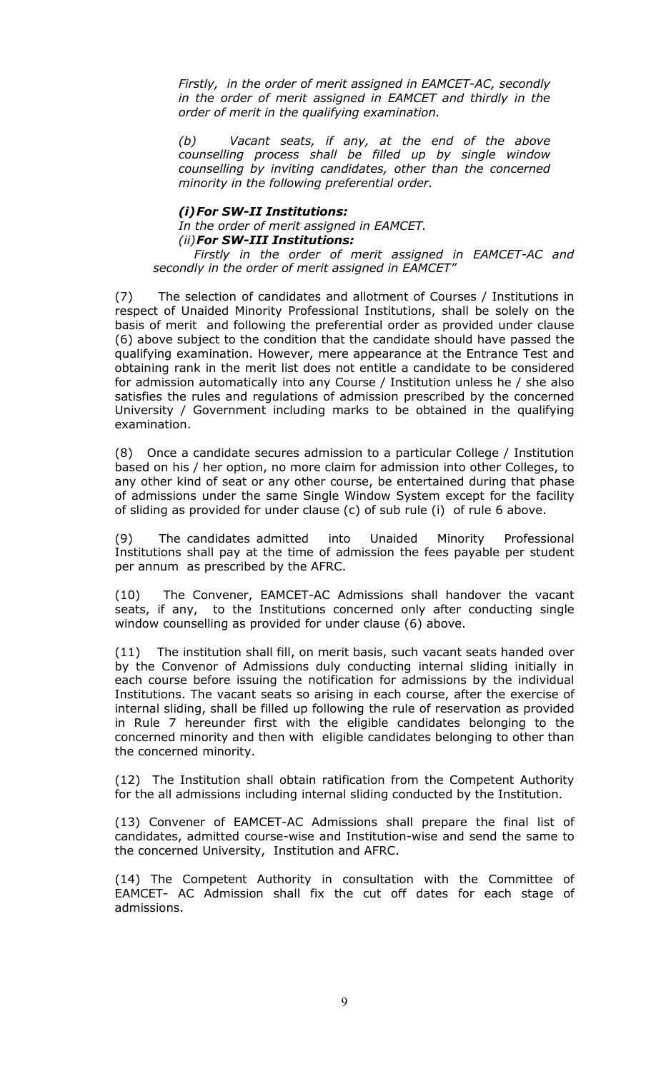*Firstly, in the order of merit assigned in EAMCET-AC, secondly in the order of merit assigned in EAMCET and thirdly in the order of merit in the qualifying examination.* 

*(b) Vacant seats, if any, at the end of the above counselling process shall be filled up by single window counselling by inviting candidates, other than the concerned minority in the following preferential order.* 

#### *(i)For SW-II Institutions:*

*In the order of merit assigned in EAMCET. (ii)For SW-III Institutions:*

 *Firstly in the order of merit assigned in EAMCET-AC and secondly in the order of merit assigned in EAMCET"* 

(7) The selection of candidates and allotment of Courses / Institutions in respect of Unaided Minority Professional Institutions, shall be solely on the basis of merit and following the preferential order as provided under clause (6) above subject to the condition that the candidate should have passed the qualifying examination. However, mere appearance at the Entrance Test and obtaining rank in the merit list does not entitle a candidate to be considered for admission automatically into any Course / Institution unless he / she also satisfies the rules and regulations of admission prescribed by the concerned University / Government including marks to be obtained in the qualifying examination.

(8) Once a candidate secures admission to a particular College / Institution based on his / her option, no more claim for admission into other Colleges, to any other kind of seat or any other course, be entertained during that phase of admissions under the same Single Window System except for the facility of sliding as provided for under clause (c) of sub rule (i) of rule 6 above.

(9) The candidates admitted into Unaided Minority Professional Institutions shall pay at the time of admission the fees payable per student per annum as prescribed by the AFRC.

(10) The Convener, EAMCET-AC Admissions shall handover the vacant seats, if any, to the Institutions concerned only after conducting single window counselling as provided for under clause (6) above.

(11) The institution shall fill, on merit basis, such vacant seats handed over by the Convenor of Admissions duly conducting internal sliding initially in each course before issuing the notification for admissions by the individual Institutions. The vacant seats so arising in each course, after the exercise of internal sliding, shall be filled up following the rule of reservation as provided in Rule 7 hereunder first with the eligible candidates belonging to the concerned minority and then with eligible candidates belonging to other than the concerned minority.

(12) The Institution shall obtain ratification from the Competent Authority for the all admissions including internal sliding conducted by the Institution.

(13) Convener of EAMCET-AC Admissions shall prepare the final list of candidates, admitted course-wise and Institution-wise and send the same to the concerned University, Institution and AFRC.

(14) The Competent Authority in consultation with the Committee of EAMCET- AC Admission shall fix the cut off dates for each stage of admissions.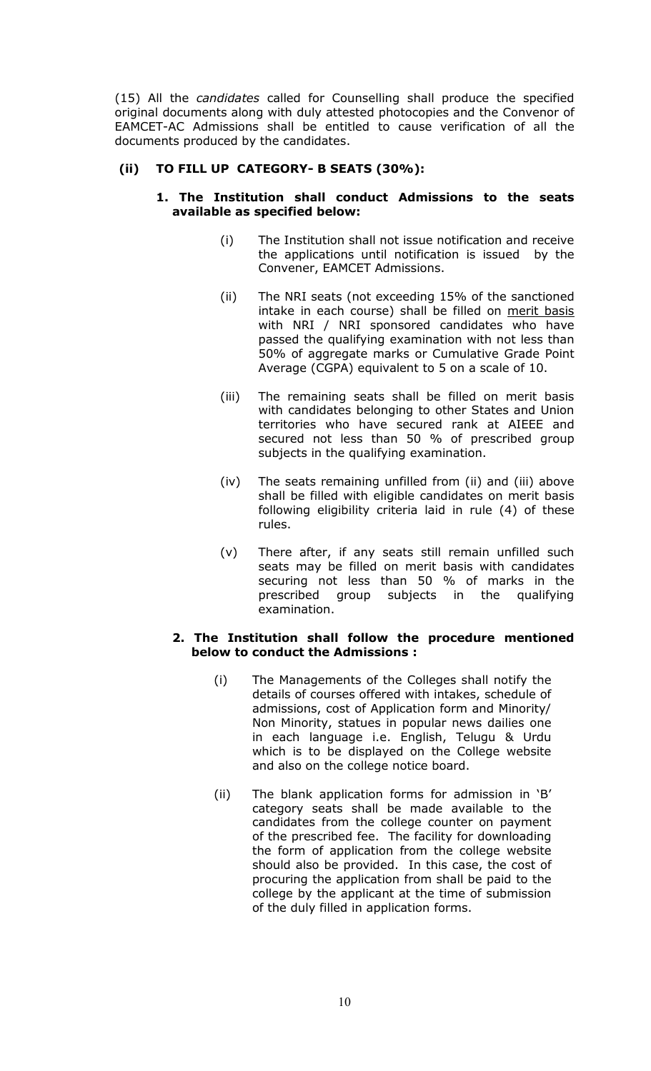(15) All the *candidates* called for Counselling shall produce the specified original documents along with duly attested photocopies and the Convenor of EAMCET-AC Admissions shall be entitled to cause verification of all the documents produced by the candidates.

# **(ii) TO FILL UP CATEGORY- B SEATS (30%):**

## **1. The Institution shall conduct Admissions to the seats available as specified below:**

- (i) The Institution shall not issue notification and receive the applications until notification is issued by the Convener, EAMCET Admissions.
- (ii) The NRI seats (not exceeding 15% of the sanctioned intake in each course) shall be filled on merit basis with NRI / NRI sponsored candidates who have passed the qualifying examination with not less than 50% of aggregate marks or Cumulative Grade Point Average (CGPA) equivalent to 5 on a scale of 10.
- (iii) The remaining seats shall be filled on merit basis with candidates belonging to other States and Union territories who have secured rank at AIEEE and secured not less than 50 % of prescribed group subjects in the qualifying examination.
- (iv) The seats remaining unfilled from (ii) and (iii) above shall be filled with eligible candidates on merit basis following eligibility criteria laid in rule (4) of these rules.
- (v) There after, if any seats still remain unfilled such seats may be filled on merit basis with candidates securing not less than 50 % of marks in the prescribed group subjects in the qualifying examination.

# **2. The Institution shall follow the procedure mentioned below to conduct the Admissions :**

- (i) The Managements of the Colleges shall notify the details of courses offered with intakes, schedule of admissions, cost of Application form and Minority/ Non Minority, statues in popular news dailies one in each language i.e. English, Telugu & Urdu which is to be displayed on the College website and also on the college notice board.
- (ii) The blank application forms for admission in 'B' category seats shall be made available to the candidates from the college counter on payment of the prescribed fee. The facility for downloading the form of application from the college website should also be provided. In this case, the cost of procuring the application from shall be paid to the college by the applicant at the time of submission of the duly filled in application forms.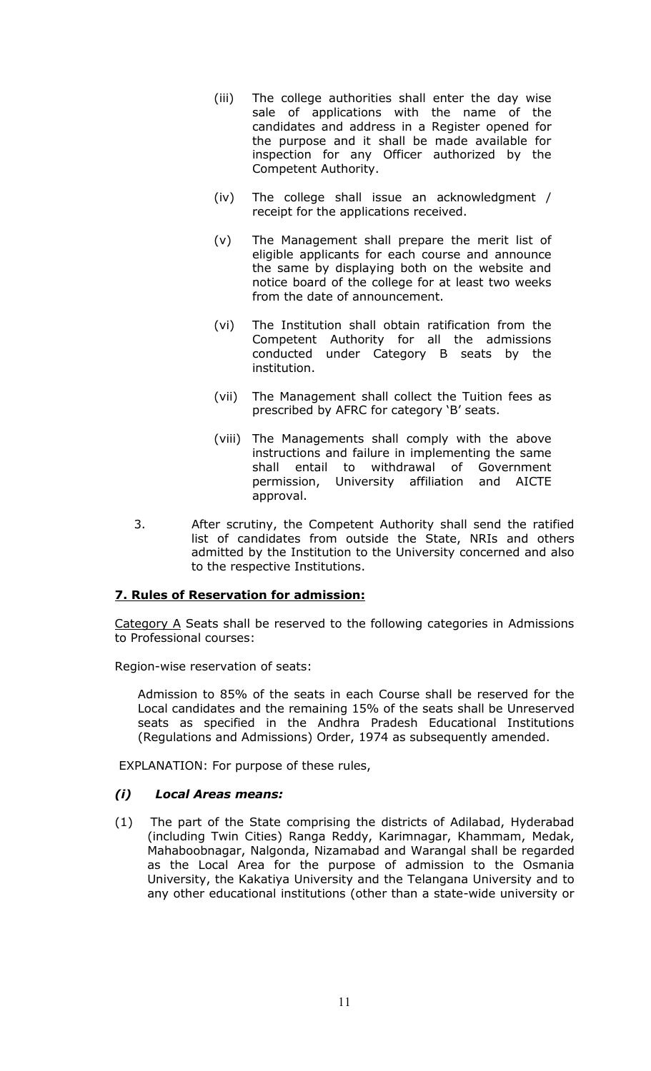- (iii) The college authorities shall enter the day wise sale of applications with the name of the candidates and address in a Register opened for the purpose and it shall be made available for inspection for any Officer authorized by the Competent Authority.
- (iv) The college shall issue an acknowledgment / receipt for the applications received.
- (v) The Management shall prepare the merit list of eligible applicants for each course and announce the same by displaying both on the website and notice board of the college for at least two weeks from the date of announcement.
- (vi) The Institution shall obtain ratification from the Competent Authority for all the admissions conducted under Category B seats by the institution.
- (vii) The Management shall collect the Tuition fees as prescribed by AFRC for category 'B' seats.
- (viii) The Managements shall comply with the above instructions and failure in implementing the same shall entail to withdrawal of Government permission, University affiliation and AICTE approval.
- 3. After scrutiny, the Competent Authority shall send the ratified list of candidates from outside the State, NRIs and others admitted by the Institution to the University concerned and also to the respective Institutions.

# **7. Rules of Reservation for admission:**

Category A Seats shall be reserved to the following categories in Admissions to Professional courses:

Region-wise reservation of seats:

Admission to 85% of the seats in each Course shall be reserved for the Local candidates and the remaining 15% of the seats shall be Unreserved seats as specified in the Andhra Pradesh Educational Institutions (Regulations and Admissions) Order, 1974 as subsequently amended.

EXPLANATION: For purpose of these rules,

## *(i) Local Areas means:*

(1) The part of the State comprising the districts of Adilabad, Hyderabad (including Twin Cities) Ranga Reddy, Karimnagar, Khammam, Medak, Mahaboobnagar, Nalgonda, Nizamabad and Warangal shall be regarded as the Local Area for the purpose of admission to the Osmania University, the Kakatiya University and the Telangana University and to any other educational institutions (other than a state-wide university or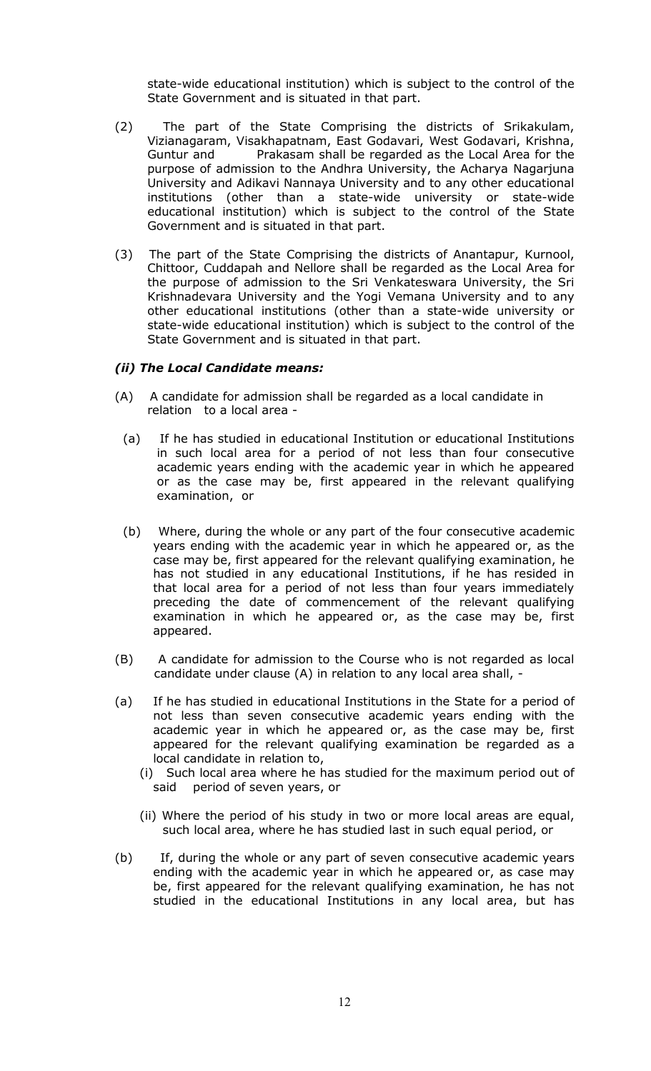state-wide educational institution) which is subject to the control of the State Government and is situated in that part.

- (2) The part of the State Comprising the districts of Srikakulam, Vizianagaram, Visakhapatnam, East Godavari, West Godavari, Krishna, Guntur and Prakasam shall be regarded as the Local Area for the purpose of admission to the Andhra University, the Acharya Nagarjuna University and Adikavi Nannaya University and to any other educational institutions (other than a state-wide university or state-wide educational institution) which is subject to the control of the State Government and is situated in that part.
- (3) The part of the State Comprising the districts of Anantapur, Kurnool, Chittoor, Cuddapah and Nellore shall be regarded as the Local Area for the purpose of admission to the Sri Venkateswara University, the Sri Krishnadevara University and the Yogi Vemana University and to any other educational institutions (other than a state-wide university or state-wide educational institution) which is subject to the control of the State Government and is situated in that part.

#### *(ii) The Local Candidate means:*

- (A) A candidate for admission shall be regarded as a local candidate in relation to a local area -
- (a) If he has studied in educational Institution or educational Institutions in such local area for a period of not less than four consecutive academic years ending with the academic year in which he appeared or as the case may be, first appeared in the relevant qualifying examination, or
- (b) Where, during the whole or any part of the four consecutive academic years ending with the academic year in which he appeared or, as the case may be, first appeared for the relevant qualifying examination, he has not studied in any educational Institutions, if he has resided in that local area for a period of not less than four years immediately preceding the date of commencement of the relevant qualifying examination in which he appeared or, as the case may be, first appeared.
- (B) A candidate for admission to the Course who is not regarded as local candidate under clause (A) in relation to any local area shall, -
- (a) If he has studied in educational Institutions in the State for a period of not less than seven consecutive academic years ending with the academic year in which he appeared or, as the case may be, first appeared for the relevant qualifying examination be regarded as a local candidate in relation to,
	- (i) Such local area where he has studied for the maximum period out of said period of seven years, or
	- (ii) Where the period of his study in two or more local areas are equal, such local area, where he has studied last in such equal period, or
- (b) If, during the whole or any part of seven consecutive academic years ending with the academic year in which he appeared or, as case may be, first appeared for the relevant qualifying examination, he has not studied in the educational Institutions in any local area, but has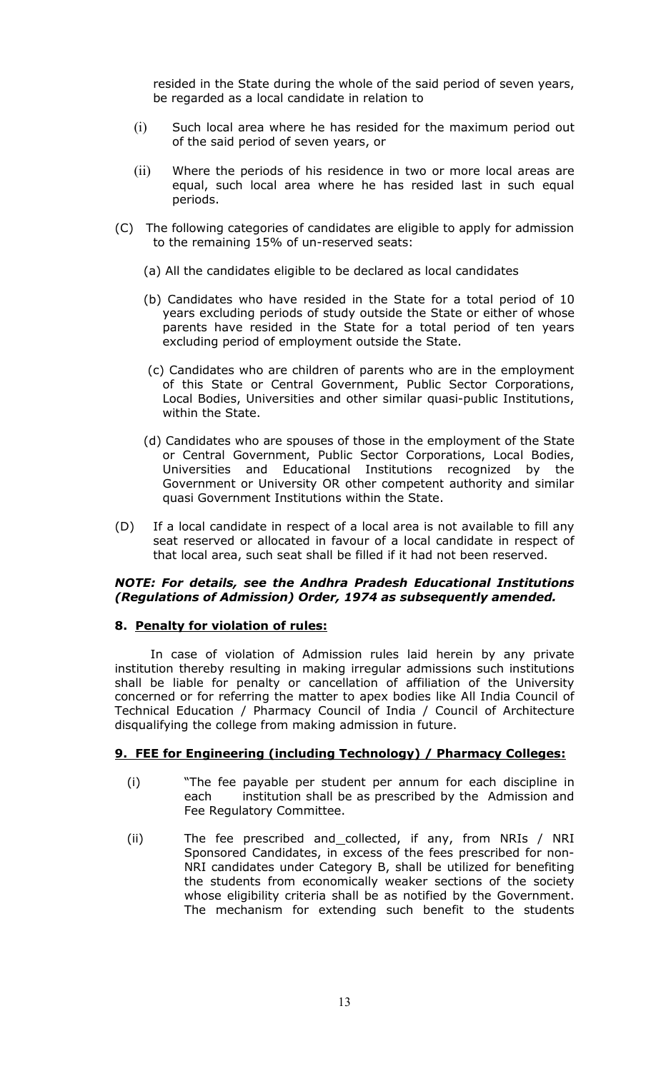resided in the State during the whole of the said period of seven years, be regarded as a local candidate in relation to

- (i) Such local area where he has resided for the maximum period out of the said period of seven years, or
- (ii) Where the periods of his residence in two or more local areas are equal, such local area where he has resided last in such equal periods.
- (C) The following categories of candidates are eligible to apply for admission to the remaining 15% of un-reserved seats:
	- (a) All the candidates eligible to be declared as local candidates
	- (b) Candidates who have resided in the State for a total period of 10 years excluding periods of study outside the State or either of whose parents have resided in the State for a total period of ten years excluding period of employment outside the State.
	- (c) Candidates who are children of parents who are in the employment of this State or Central Government, Public Sector Corporations, Local Bodies, Universities and other similar quasi-public Institutions, within the State.
	- (d) Candidates who are spouses of those in the employment of the State or Central Government, Public Sector Corporations, Local Bodies, Universities and Educational Institutions recognized by the Government or University OR other competent authority and similar quasi Government Institutions within the State.
- (D) If a local candidate in respect of a local area is not available to fill any seat reserved or allocated in favour of a local candidate in respect of that local area, such seat shall be filled if it had not been reserved.

## *NOTE: For details, see the Andhra Pradesh Educational Institutions (Regulations of Admission) Order, 1974 as subsequently amended.*

## **8. Penalty for violation of rules:**

In case of violation of Admission rules laid herein by any private institution thereby resulting in making irregular admissions such institutions shall be liable for penalty or cancellation of affiliation of the University concerned or for referring the matter to apex bodies like All India Council of Technical Education / Pharmacy Council of India / Council of Architecture disqualifying the college from making admission in future.

## **9. FEE for Engineering (including Technology) / Pharmacy Colleges:**

- (i) "The fee payable per student per annum for each discipline in each institution shall be as prescribed by the Admission and Fee Regulatory Committee.
- (ii) The fee prescribed and collected, if any, from NRIs / NRI Sponsored Candidates, in excess of the fees prescribed for non-NRI candidates under Category B, shall be utilized for benefiting the students from economically weaker sections of the society whose eligibility criteria shall be as notified by the Government. The mechanism for extending such benefit to the students